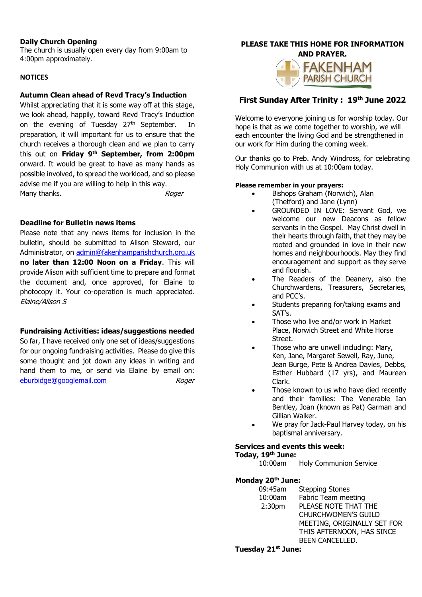### **Daily Church Opening**

The church is usually open every day from 9:00am to 4:00pm approximately.

### **NOTICES**

### **Autumn Clean ahead of Revd Tracy's Induction**

Whilst appreciating that it is some way off at this stage, we look ahead, happily, toward Revd Tracy's Induction on the evening of Tuesday 27<sup>th</sup> September. In preparation, it will important for us to ensure that the church receives a thorough clean and we plan to carry this out on **Friday 9 th September, from 2:00pm** onward. It would be great to have as many hands as possible involved, to spread the workload, and so please advise me if you are willing to help in this way. Many thanks. Notice that the many thanks are the many thanks are the many thanks are the many thanks are the many thanks are the many thanks are the many thanks are the many thanks are the many thanks are the many thanks a

**Deadline for Bulletin news items**

Please note that any news items for inclusion in the bulletin, should be submitted to Alison Steward, our Administrator, on [admin@fakenhamparishchurch.org.uk](mailto:admin@fakenhamparishchurch.org.uk) **no later than 12:00 Noon on a Friday**. This will provide Alison with sufficient time to prepare and format the document and, once approved, for Elaine to photocopy it. Your co-operation is much appreciated. Elaine/Alison S

# **Fundraising Activities: ideas/suggestions needed**

So far, I have received only one set of ideas/suggestions for our ongoing fundraising activities. Please do give this some thought and jot down any ideas in writing and hand them to me, or send via Elaine by email on: [eburbidge@googlemail.com](mailto:eburbidge@googlemail.com) Roger

#### **PLEASE TAKE THIS HOME FOR INFORMATION AND PRAYER.**



# **First Sunday After Trinity : 19 th June 2022**

Welcome to everyone joining us for worship today. Our hope is that as we come together to worship, we will each encounter the living God and be strengthened in our work for Him during the coming week.

Our thanks go to Preb. Andy Windross, for celebrating Holy Communion with us at 10:00am today.

### **Please remember in your prayers:**

- Bishops Graham (Norwich), Alan (Thetford) and Jane (Lynn)
- GROUNDED IN LOVE: Servant God, we welcome our new Deacons as fellow servants in the Gospel. May Christ dwell in their hearts through faith, that they may be rooted and grounded in love in their new homes and neighbourhoods. May they find encouragement and support as they serve and flourish.
- The Readers of the Deanery, also the Churchwardens, Treasurers, Secretaries, and PCC's.
- Students preparing for/taking exams and SAT's.
- Those who live and/or work in Market Place, Norwich Street and White Horse Street.
- Those who are unwell including: Mary, Ken, Jane, Margaret Sewell, Ray, June, Jean Burge, Pete & Andrea Davies, Debbs, Esther Hubbard (17 yrs), and Maureen Clark.
- Those known to us who have died recently and their families: The Venerable Ian Bentley, Joan (known as Pat) Garman and Gillian Walker.
- We pray for Jack-Paul Harvey today, on his baptismal anniversary.

# **Services and events this week:**

### **Today, 19 th June:**

10:00am Holy Communion Service

**Monday 20th June:**

| 09:45am            | <b>Stepping Stones</b>      |
|--------------------|-----------------------------|
| 10:00am            | Fabric Team meeting         |
| 2:30 <sub>pm</sub> | PLEASE NOTE THAT THE        |
|                    | <b>CHURCHWOMEN'S GUILD</b>  |
|                    | MEETING, ORIGINALLY SET FOR |
|                    | THIS AFTERNOON, HAS SINCE   |
|                    | BEEN CANCELLED.             |
|                    |                             |

**Tuesday 21st June:**